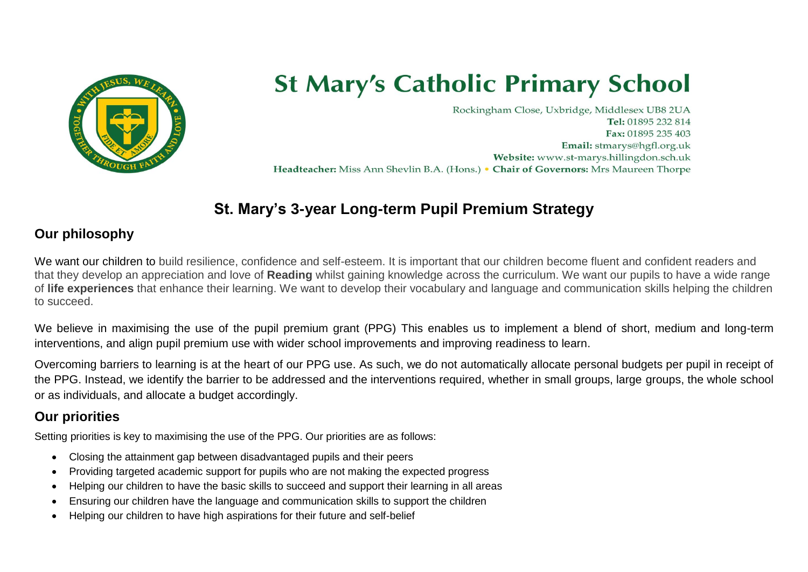

# **St Mary's Catholic Primary School**

Rockingham Close, Uxbridge, Middlesex UB8 2UA Tel: 01895 232 814 Fax: 01895 235 403 Email: stmarys@hgfl.org.uk Website: www.st-marys.hillingdon.sch.uk Headteacher: Miss Ann Shevlin B.A. (Hons.) • Chair of Governors: Mrs Maureen Thorpe

## **St. Mary's 3-year Long-term Pupil Premium Strategy**

### **Our philosophy**

We want our children to build resilience, confidence and self-esteem. It is important that our children become fluent and confident readers and that they develop an appreciation and love of **Reading** whilst gaining knowledge across the curriculum. We want our pupils to have a wide range of **life experiences** that enhance their learning. We want to develop their vocabulary and language and communication skills helping the children to succeed.

We believe in maximising the use of the pupil premium grant (PPG) This enables us to implement a blend of short, medium and long-term interventions, and align pupil premium use with wider school improvements and improving readiness to learn.

Overcoming barriers to learning is at the heart of our PPG use. As such, we do not automatically allocate personal budgets per pupil in receipt of the PPG. Instead, we identify the barrier to be addressed and the interventions required, whether in small groups, large groups, the whole school or as individuals, and allocate a budget accordingly.

### **Our priorities**

Setting priorities is key to maximising the use of the PPG. Our priorities are as follows:

- Closing the attainment gap between disadvantaged pupils and their peers
- Providing targeted academic support for pupils who are not making the expected progress
- Helping our children to have the basic skills to succeed and support their learning in all areas
- Ensuring our children have the language and communication skills to support the children
- Helping our children to have high aspirations for their future and self-belief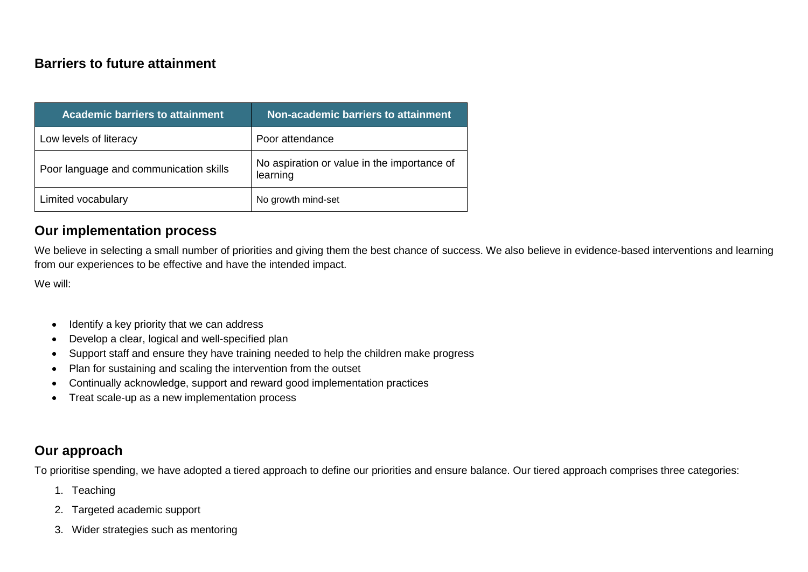### **Barriers to future attainment**

| <b>Academic barriers to attainment</b> | Non-academic barriers to attainment                     |
|----------------------------------------|---------------------------------------------------------|
| Low levels of literacy                 | Poor attendance                                         |
| Poor language and communication skills | No aspiration or value in the importance of<br>learning |
| Limited vocabulary                     | No growth mind-set                                      |

#### **Our implementation process**

We believe in selecting a small number of priorities and giving them the best chance of success. We also believe in evidence-based interventions and learning from our experiences to be effective and have the intended impact.

We will:

- Identify a key priority that we can address
- Develop a clear, logical and well-specified plan
- Support staff and ensure they have training needed to help the children make progress
- Plan for sustaining and scaling the intervention from the outset
- Continually acknowledge, support and reward good implementation practices
- Treat scale-up as a new implementation process

#### **Our approach**

To prioritise spending, we have adopted a tiered approach to define our priorities and ensure balance. Our tiered approach comprises three categories:

- 1. Teaching
- 2. Targeted academic support
- 3. Wider strategies such as mentoring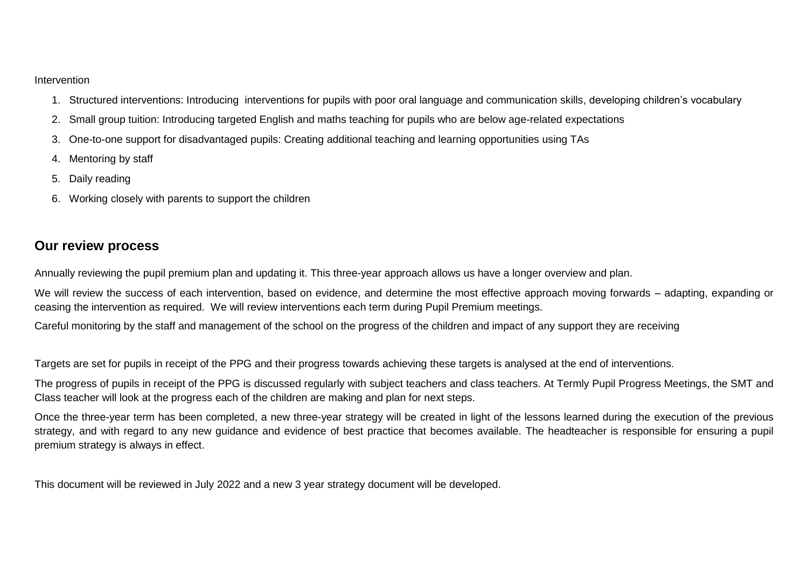#### Intervention

- 1. Structured interventions: Introducing interventions for pupils with poor oral language and communication skills, developing children's vocabulary
- 2. Small group tuition: Introducing targeted English and maths teaching for pupils who are below age-related expectations
- 3. One-to-one support for disadvantaged pupils: Creating additional teaching and learning opportunities using TAs
- 4. Mentoring by staff
- 5. Daily reading
- 6. Working closely with parents to support the children

#### **Our review process**

Annually reviewing the pupil premium plan and updating it. This three-year approach allows us have a longer overview and plan.

We will review the success of each intervention, based on evidence, and determine the most effective approach moving forwards – adapting, expanding or ceasing the intervention as required. We will review interventions each term during Pupil Premium meetings.

Careful monitoring by the staff and management of the school on the progress of the children and impact of any support they are receiving

Targets are set for pupils in receipt of the PPG and their progress towards achieving these targets is analysed at the end of interventions.

The progress of pupils in receipt of the PPG is discussed regularly with subject teachers and class teachers. At Termly Pupil Progress Meetings, the SMT and Class teacher will look at the progress each of the children are making and plan for next steps.

Once the three-year term has been completed, a new three-year strategy will be created in light of the lessons learned during the execution of the previous strategy, and with regard to any new guidance and evidence of best practice that becomes available. The headteacher is responsible for ensuring a pupil premium strategy is always in effect.

This document will be reviewed in July 2022 and a new 3 year strategy document will be developed.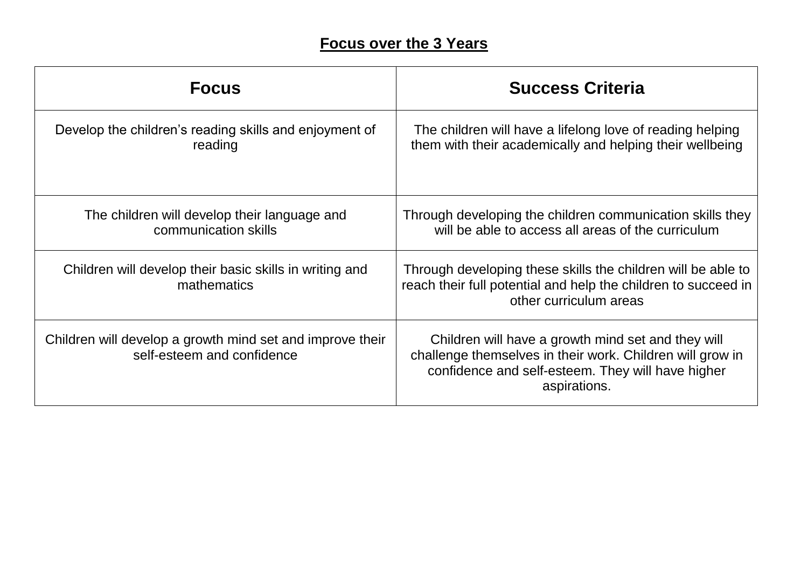## **Focus over the 3 Years**

| <b>Focus</b>                                                                            | <b>Success Criteria</b>                                                                                                                                                              |
|-----------------------------------------------------------------------------------------|--------------------------------------------------------------------------------------------------------------------------------------------------------------------------------------|
| Develop the children's reading skills and enjoyment of<br>reading                       | The children will have a lifelong love of reading helping<br>them with their academically and helping their wellbeing                                                                |
| The children will develop their language and<br>communication skills                    | Through developing the children communication skills they<br>will be able to access all areas of the curriculum                                                                      |
| Children will develop their basic skills in writing and<br>mathematics                  | Through developing these skills the children will be able to<br>reach their full potential and help the children to succeed in<br>other curriculum areas                             |
| Children will develop a growth mind set and improve their<br>self-esteem and confidence | Children will have a growth mind set and they will<br>challenge themselves in their work. Children will grow in<br>confidence and self-esteem. They will have higher<br>aspirations. |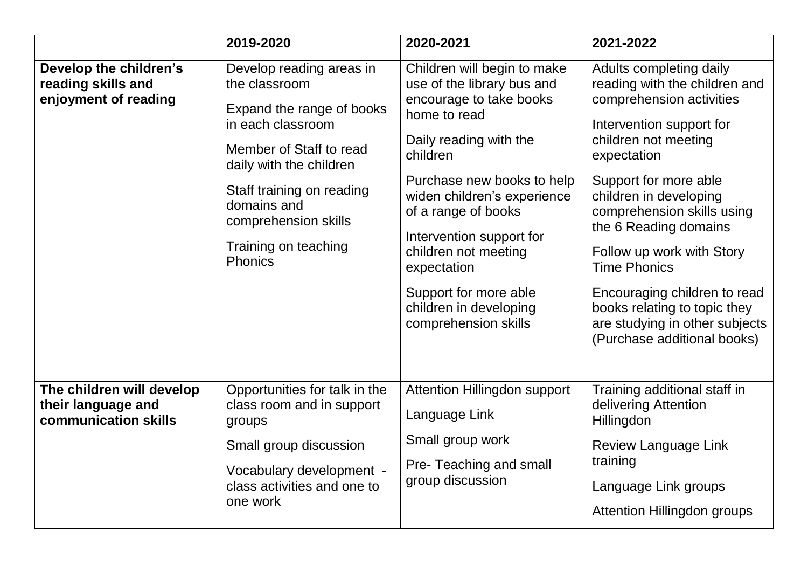|                                                                         | 2019-2020                                                                                                                                                                                                                                                       | 2020-2021                                                                                                                                                                                                                                                                                                                                                                    | 2021-2022                                                                                                                                                                                                                                                                                                                                                                                                                                              |
|-------------------------------------------------------------------------|-----------------------------------------------------------------------------------------------------------------------------------------------------------------------------------------------------------------------------------------------------------------|------------------------------------------------------------------------------------------------------------------------------------------------------------------------------------------------------------------------------------------------------------------------------------------------------------------------------------------------------------------------------|--------------------------------------------------------------------------------------------------------------------------------------------------------------------------------------------------------------------------------------------------------------------------------------------------------------------------------------------------------------------------------------------------------------------------------------------------------|
| Develop the children's<br>reading skills and<br>enjoyment of reading    | Develop reading areas in<br>the classroom<br>Expand the range of books<br>in each classroom<br>Member of Staff to read<br>daily with the children<br>Staff training on reading<br>domains and<br>comprehension skills<br>Training on teaching<br><b>Phonics</b> | Children will begin to make<br>use of the library bus and<br>encourage to take books<br>home to read<br>Daily reading with the<br>children<br>Purchase new books to help<br>widen children's experience<br>of a range of books<br>Intervention support for<br>children not meeting<br>expectation<br>Support for more able<br>children in developing<br>comprehension skills | Adults completing daily<br>reading with the children and<br>comprehension activities<br>Intervention support for<br>children not meeting<br>expectation<br>Support for more able<br>children in developing<br>comprehension skills using<br>the 6 Reading domains<br>Follow up work with Story<br><b>Time Phonics</b><br>Encouraging children to read<br>books relating to topic they<br>are studying in other subjects<br>(Purchase additional books) |
| The children will develop<br>their language and<br>communication skills | Opportunities for talk in the<br>class room and in support<br>groups<br>Small group discussion<br>Vocabulary development -<br>class activities and one to<br>one work                                                                                           | Attention Hillingdon support<br>Language Link<br>Small group work<br>Pre-Teaching and small<br>group discussion                                                                                                                                                                                                                                                              | Training additional staff in<br>delivering Attention<br>Hillingdon<br>Review Language Link<br>training<br>Language Link groups<br>Attention Hillingdon groups                                                                                                                                                                                                                                                                                          |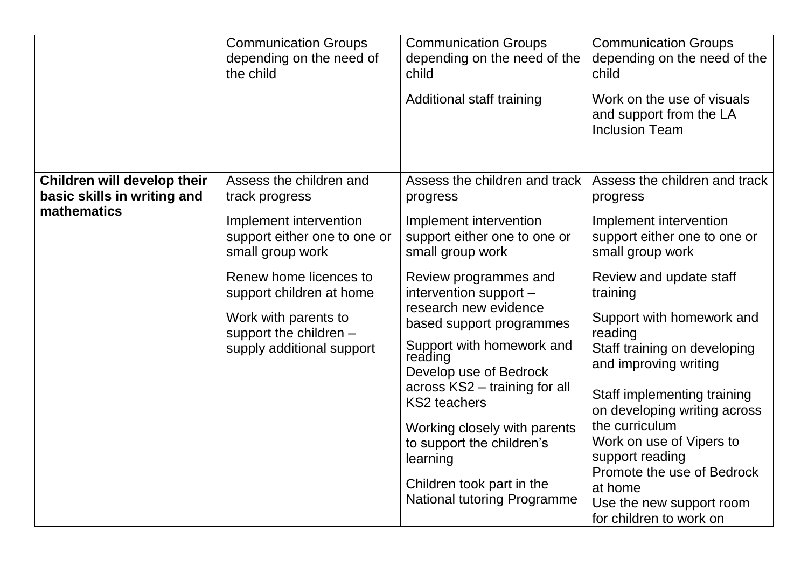| <b>Communication Groups</b><br><b>Communication Groups</b><br><b>Communication Groups</b><br>depending on the need of<br>depending on the need of the<br>the child<br>child<br>Additional staff training                                                                                                                                                                                                                                                                                                                                                                                                                                                                                                                                                                                                                                           | depending on the need of the<br>child<br>Work on the use of visuals<br>and support from the LA<br><b>Inclusion Team</b>                                                                                                                                                                                                                                                                                                                                              |
|----------------------------------------------------------------------------------------------------------------------------------------------------------------------------------------------------------------------------------------------------------------------------------------------------------------------------------------------------------------------------------------------------------------------------------------------------------------------------------------------------------------------------------------------------------------------------------------------------------------------------------------------------------------------------------------------------------------------------------------------------------------------------------------------------------------------------------------------------|----------------------------------------------------------------------------------------------------------------------------------------------------------------------------------------------------------------------------------------------------------------------------------------------------------------------------------------------------------------------------------------------------------------------------------------------------------------------|
| Children will develop their<br>Assess the children and<br>Assess the children and track<br>basic skills in writing and<br>track progress<br>progress<br>mathematics<br>Implement intervention<br>Implement intervention<br>support either one to one or<br>support either one to one or<br>small group work<br>small group work<br>Renew home licences to<br>Review programmes and<br>intervention support -<br>support children at home<br>research new evidence<br>Work with parents to<br>based support programmes<br>support the children -<br>Support with homework and<br>supply additional support<br>reading<br>Develop use of Bedrock<br>across KS2 - training for all<br><b>KS2</b> teachers<br>Working closely with parents<br>to support the children's<br>learning<br>Children took part in the<br><b>National tutoring Programme</b> | Assess the children and track<br>progress<br>Implement intervention<br>support either one to one or<br>small group work<br>Review and update staff<br>training<br>Support with homework and<br>reading<br>Staff training on developing<br>and improving writing<br>Staff implementing training<br>on developing writing across<br>the curriculum<br>Work on use of Vipers to<br>support reading<br>Promote the use of Bedrock<br>at home<br>Use the new support room |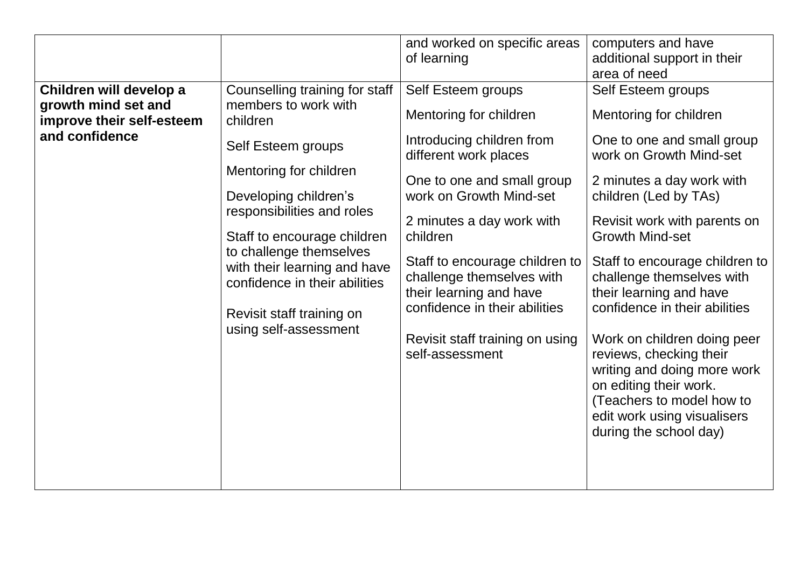| Mentoring for children<br>One to one and small group<br>2 minutes a day work with<br>work on Growth Mind-set<br>Developing children's<br>children (Led by TAs)<br>responsibilities and roles<br>2 minutes a day work with<br>Revisit work with parents on<br><b>Growth Mind-set</b><br>children<br>Staff to encourage children<br>to challenge themselves<br>Staff to encourage children to<br>Staff to encourage children to<br>with their learning and have<br>challenge themselves with<br>challenge themselves with<br>confidence in their abilities<br>their learning and have<br>their learning and have<br>confidence in their abilities<br>confidence in their abilities<br>Revisit staff training on<br>using self-assessment<br>Revisit staff training on using<br>Work on children doing peer<br>self-assessment<br>reviews, checking their<br>writing and doing more work<br>on editing their work.<br>(Teachers to model how to<br>edit work using visualisers<br>during the school day) | work on Growth Mind-set |
|-------------------------------------------------------------------------------------------------------------------------------------------------------------------------------------------------------------------------------------------------------------------------------------------------------------------------------------------------------------------------------------------------------------------------------------------------------------------------------------------------------------------------------------------------------------------------------------------------------------------------------------------------------------------------------------------------------------------------------------------------------------------------------------------------------------------------------------------------------------------------------------------------------------------------------------------------------------------------------------------------------|-------------------------|
|                                                                                                                                                                                                                                                                                                                                                                                                                                                                                                                                                                                                                                                                                                                                                                                                                                                                                                                                                                                                       |                         |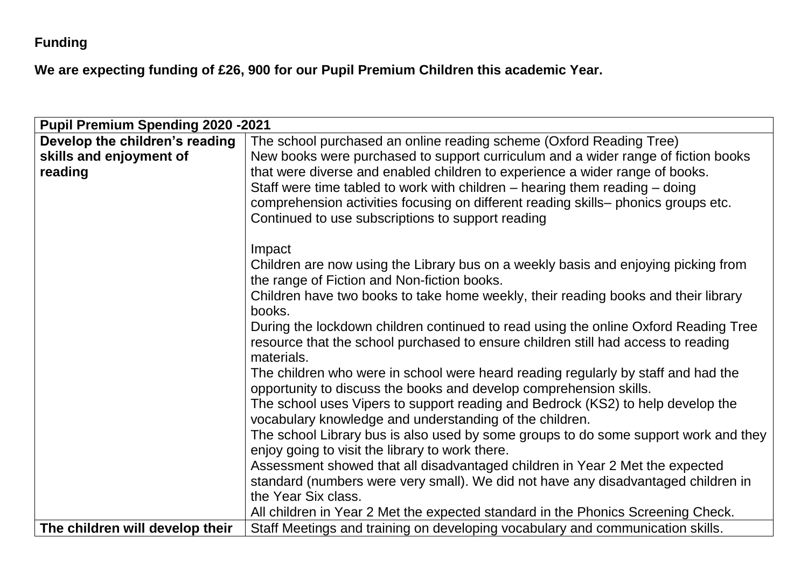## **Funding**

**We are expecting funding of £26, 900 for our Pupil Premium Children this academic Year.** 

| <b>Pupil Premium Spending 2020 -2021</b> |                                                                                     |
|------------------------------------------|-------------------------------------------------------------------------------------|
| Develop the children's reading           | The school purchased an online reading scheme (Oxford Reading Tree)                 |
| skills and enjoyment of                  | New books were purchased to support curriculum and a wider range of fiction books   |
| reading                                  | that were diverse and enabled children to experience a wider range of books.        |
|                                          | Staff were time tabled to work with children $-$ hearing them reading $-$ doing     |
|                                          | comprehension activities focusing on different reading skills-phonics groups etc.   |
|                                          | Continued to use subscriptions to support reading                                   |
|                                          | Impact                                                                              |
|                                          | Children are now using the Library bus on a weekly basis and enjoying picking from  |
|                                          | the range of Fiction and Non-fiction books.                                         |
|                                          | Children have two books to take home weekly, their reading books and their library  |
|                                          | books.                                                                              |
|                                          | During the lockdown children continued to read using the online Oxford Reading Tree |
|                                          | resource that the school purchased to ensure children still had access to reading   |
|                                          | materials.                                                                          |
|                                          | The children who were in school were heard reading regularly by staff and had the   |
|                                          | opportunity to discuss the books and develop comprehension skills.                  |
|                                          | The school uses Vipers to support reading and Bedrock (KS2) to help develop the     |
|                                          | vocabulary knowledge and understanding of the children.                             |
|                                          | The school Library bus is also used by some groups to do some support work and they |
|                                          | enjoy going to visit the library to work there.                                     |
|                                          | Assessment showed that all disadvantaged children in Year 2 Met the expected        |
|                                          | standard (numbers were very small). We did not have any disadvantaged children in   |
|                                          | the Year Six class.                                                                 |
|                                          | All children in Year 2 Met the expected standard in the Phonics Screening Check.    |
| The children will develop their          | Staff Meetings and training on developing vocabulary and communication skills.      |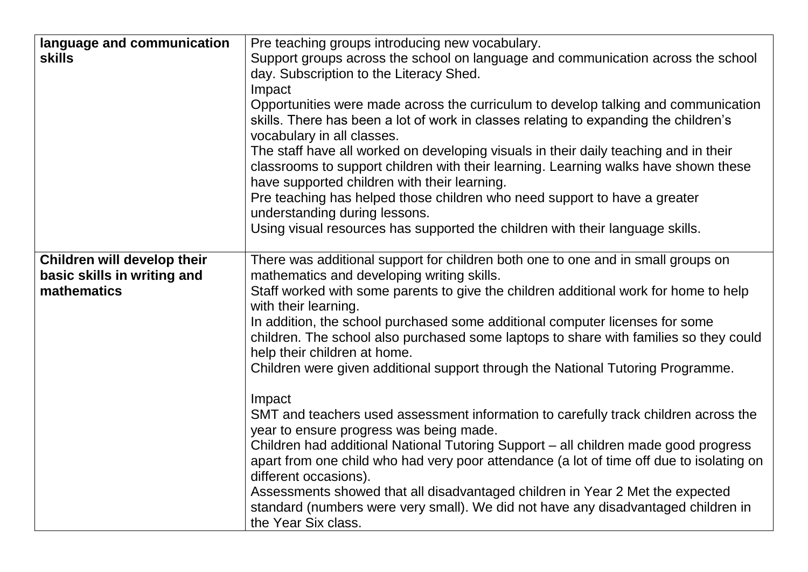| language and communication<br><b>skills</b>                               | Pre teaching groups introducing new vocabulary.<br>Support groups across the school on language and communication across the school<br>day. Subscription to the Literacy Shed.<br>Impact<br>Opportunities were made across the curriculum to develop talking and communication<br>skills. There has been a lot of work in classes relating to expanding the children's<br>vocabulary in all classes.<br>The staff have all worked on developing visuals in their daily teaching and in their<br>classrooms to support children with their learning. Learning walks have shown these                                                                                                                                                                                                                                                                                                                                                                                                                                                                                                             |
|---------------------------------------------------------------------------|-------------------------------------------------------------------------------------------------------------------------------------------------------------------------------------------------------------------------------------------------------------------------------------------------------------------------------------------------------------------------------------------------------------------------------------------------------------------------------------------------------------------------------------------------------------------------------------------------------------------------------------------------------------------------------------------------------------------------------------------------------------------------------------------------------------------------------------------------------------------------------------------------------------------------------------------------------------------------------------------------------------------------------------------------------------------------------------------------|
|                                                                           | have supported children with their learning.<br>Pre teaching has helped those children who need support to have a greater<br>understanding during lessons.<br>Using visual resources has supported the children with their language skills.                                                                                                                                                                                                                                                                                                                                                                                                                                                                                                                                                                                                                                                                                                                                                                                                                                                     |
| Children will develop their<br>basic skills in writing and<br>mathematics | There was additional support for children both one to one and in small groups on<br>mathematics and developing writing skills.<br>Staff worked with some parents to give the children additional work for home to help<br>with their learning.<br>In addition, the school purchased some additional computer licenses for some<br>children. The school also purchased some laptops to share with families so they could<br>help their children at home.<br>Children were given additional support through the National Tutoring Programme.<br>Impact<br>SMT and teachers used assessment information to carefully track children across the<br>year to ensure progress was being made.<br>Children had additional National Tutoring Support - all children made good progress<br>apart from one child who had very poor attendance (a lot of time off due to isolating on<br>different occasions).<br>Assessments showed that all disadvantaged children in Year 2 Met the expected<br>standard (numbers were very small). We did not have any disadvantaged children in<br>the Year Six class. |